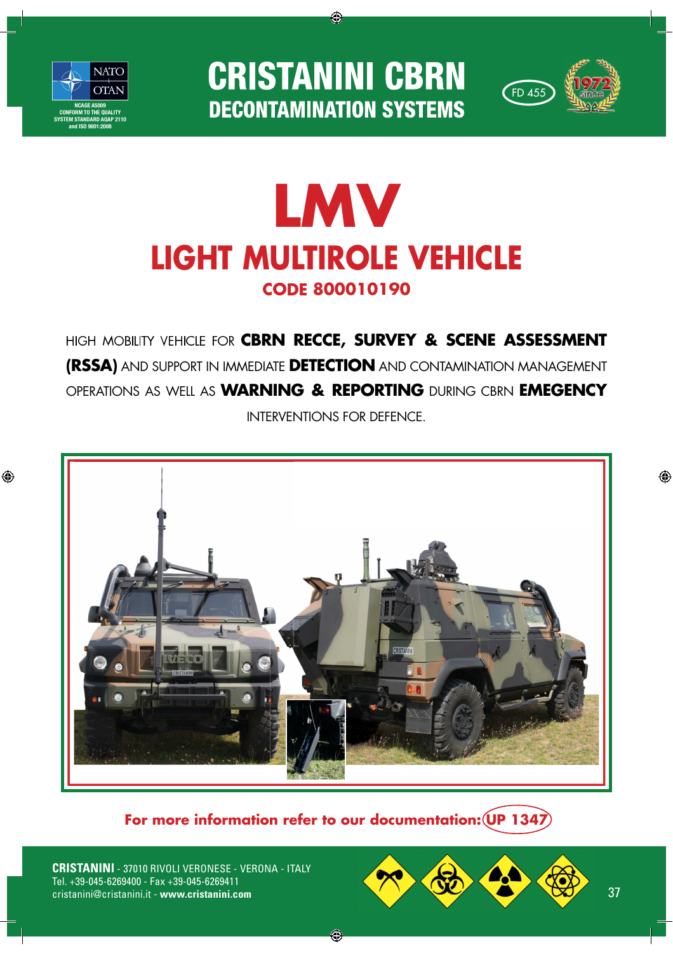

◈

**CRISTANINI CBRN DECONTAMINATION SYSTEMS** 

◈



## C  **800010190 LMV LIGHT MULTIROLE VEHICLE**

HIGH MOBILITY VEHICLE FOR **CBRN RECCE, SURVEY & SCENE ASSESSMENT (RSSA)** AND SUPPORT IN IMMEDIATE **DETECTION** AND CONTAMINATION MANAGEMENT OPERATIONS AS WELL AS **WARNING & REPORTING** DURING CBRN **EMEGENCY** INTERVENTIONS FOR DEFENCE.



**For more information refer to our documentation: UP 1347**

◈

**CRISTANINI** - 37010 RIVOLI VERONESE - VERONA - ITALY Tel. +39-045-6269400 - Fax +39-045-6269411



◈